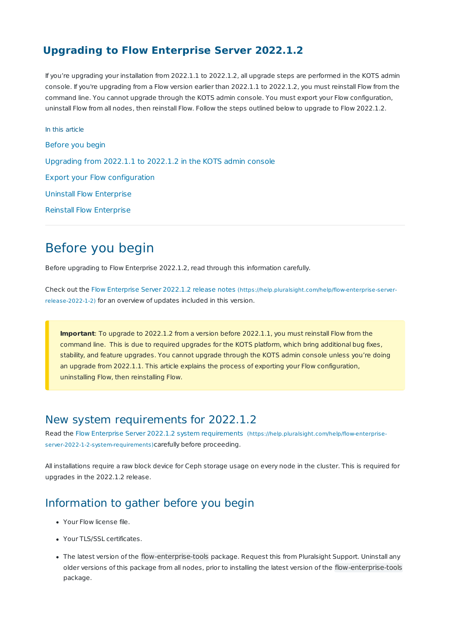#### **Upgrading to Flow Enterprise Server 2022.1.2**

If you're upgrading your installation from 2022.1.1 to 2022.1.2, all upgrade steps are performed in the KOTS admin console. If you're upgrading from a Flow version earlier than 2022.1.1 to 2022.1.2, you must reinstall Flow from the command line. You cannot upgrade through the KOTS admin console. You must export your Flow configuration, uninstall Flow from all nodes, then reinstall Flow. Follow the steps outlined below to upgrade to Flow 2022.1.2.

In this article Before you begin Upgrading from 2022.1.1 to 2022.1.2 in the KOTS admin console Export your Flow configuration Uninstall Flow Enterprise Reinstall Flow Enterprise

## Before you begin

Before upgrading to Flow Enterprise 2022.1.2, read through this information carefully.

Check out the Flow Enterprise Server 2022.1.2 release notes (https://help.pluralsight.com/help/flow-enterprise-serverrelease-2022-1-2) for an overview of updates included in this version.

**Important**: To upgrade to 2022.1.2 from a version before 2022.1.1, you must reinstall Flow from the command line. This is due to required upgrades for the KOTS platform, which bring additional bug fixes, stability, and feature upgrades. You cannot upgrade through the KOTS admin console unless you're doing an upgrade from 2022.1.1. This article explains the process of exporting your Flow configuration, uninstalling Flow, then reinstalling Flow.

#### New system requirements for 2022.1.2

Read the Flow Enterprise Server 2022.1.2 system requirements (https://help.pluralsight.com/help/flow-enterpriseserver-2022-1-2-system-requirements)carefully before proceeding.

All installations require a raw block device for Ceph storage usage on every node in the cluster. This is required for upgrades in the 2022.1.2 release.

### Information to gather before you begin

- Your Flow license file.
- Your TLS/SSL certificates.
- The latest version of the flow-enterprise-tools package. Request this from Pluralsight Support. Uninstall any older versions of this package from all nodes, prior to installing the latest version of the flow-enterprise-tools package.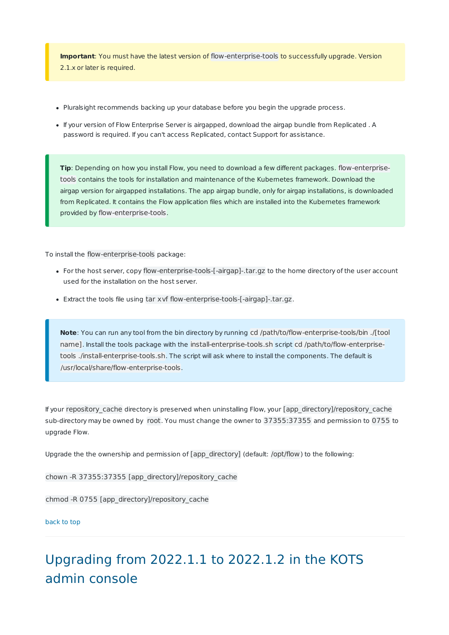**Important**: You must have the latest version of flow-enterprise-tools to successfully upgrade. Version 2.1.x or later is required.

- Pluralsight recommends backing up your database before you begin the upgrade process.
- If your version of Flow Enterprise Server is airgapped, download the airgap bundle from Replicated . A password is required. If you can't access Replicated, contact Support for assistance.

**Tip**: Depending on how you install Flow, you need to download a few different packages. flow-enterprisetools contains the tools for installation and maintenance of the Kubernetes framework. Download the airgap version for airgapped installations. The app airgap bundle, only for airgap installations, is downloaded from Replicated. It contains the Flow application files which are installed into the Kubernetes framework provided by flow-enterprise-tools.

To install the flow-enterprise-tools package:

- For the host server, copy flow-enterprise-tools-[-airgap]-.tar.gz to the home directory of the user account used for the installation on the host server.
- Extract the tools file using tar xvf flow-enterprise-tools-[-airgap]-.tar.gz.

**Note**: You can run any tool from the bin directory by running cd /path/to/flow-enterprise-tools/bin ./[tool name]. Install the tools package with the install-enterprise-tools.sh script cd /path/to/flow-enterprisetools ./install-enterprise-tools.sh. The script will ask where to install the components. The default is /usr/local/share/flow-enterprise-tools.

If your repository\_cache directory is preserved when uninstalling Flow, your [app\_directory]/repository\_cache sub-directory may be owned by root. You must change the owner to 37355:37355 and permission to 0755 to upgrade Flow.

Upgrade the the ownership and permission of [app\_directory] (default: /opt/flow) to the following:

chown -R 37355:37355 [app\_directory]/repository\_cache

chmod -R 0755 [app\_directory]/repository\_cache

#### back to top

# Upgrading from 2022.1.1 to 2022.1.2 in the KOTS admin console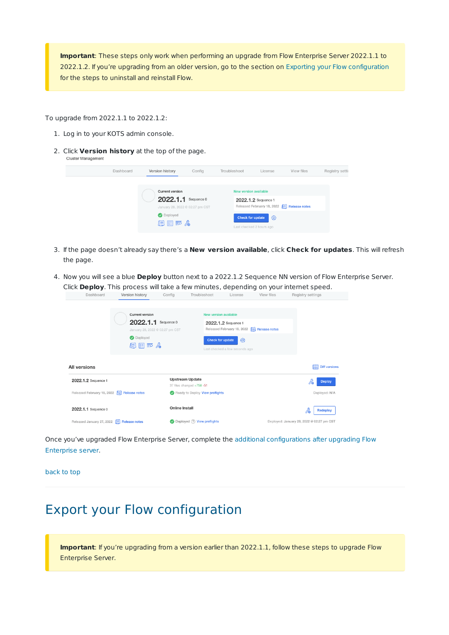**Important**: These steps only work when performing an upgrade from Flow Enterprise Server 2022.1.1 to 2022.1.2. If you're upgrading from an older version, go to the section on Exporting your Flow configuration for the steps to uninstall and reinstall Flow.

To upgrade from 2022.1.1 to 2022.1.2:

- 1. Log in to your KOTS admin console.
- 2. Click **Version history** at the top of the page. **Cluster Management**

| Dashboard | Version history                                                                                      | Config | Troubleshoot                                                                                               | License | View files                                 | Registry setti |
|-----------|------------------------------------------------------------------------------------------------------|--------|------------------------------------------------------------------------------------------------------------|---------|--------------------------------------------|----------------|
|           | <b>Current version</b><br>2022.1.1 Sequence 0<br>January 28, 2022 @ 02:27 pm CST<br>Deployed<br>旧日更太 |        | <b>New version available</b><br>2022.1.2 Sequence 1<br><b>Check for update</b><br>Last checked 2 hours ago | 0       | Released February 18, 2022 E Release notes |                |

- 3. If the page doesn't already say there's a **New version available**, click **Check for updates**. This will refresh the page.
- 4. Now you will see a blue **Deploy** button next to a 2022.1.2 Sequence NN version of Flow Enterprise Server. Click **Deploy**. This process will take a few minutes, depending on your internet speed.

| Dashboard                                        | Version history                                                                           | Config                 | Troubleshoot                                     | License                                                                                                  | View files | Registry settings                         |
|--------------------------------------------------|-------------------------------------------------------------------------------------------|------------------------|--------------------------------------------------|----------------------------------------------------------------------------------------------------------|------------|-------------------------------------------|
|                                                  | <b>Current version</b><br>2022.1.1<br>January 28, 2022 @ 02:27 pm CST<br>Deployed<br>目目声人 | Sequence 0             | New version available<br><b>Check for update</b> | 2022.1.2 Sequence 1<br>Released February 18, 2022   Release notes<br>ග<br>Last checked a few seconds ago |            |                                           |
| All versions                                     |                                                                                           |                        |                                                  |                                                                                                          |            | <b>耳 Diff versions</b>                    |
| 2022.1.2 Sequence 1                              |                                                                                           | <b>Upstream Update</b> | 37 files changed +758 -51                        |                                                                                                          |            | ã<br><b>Deploy</b>                        |
| Released February 18, 2022 F Release notes       |                                                                                           |                        | Ready to Deploy View preflights                  |                                                                                                          |            | Deployed: N/A                             |
| 2022.1.1 Sequence 0                              |                                                                                           | Online Install         |                                                  |                                                                                                          |            | <b>Redeploy</b>                           |
| Released January 27, 2022 <b>E</b> Release notes |                                                                                           |                        | Deployed (?) View preflights                     |                                                                                                          |            | Deployed: January 28, 2022 @ 02:27 pm CST |

Once you've upgraded Flow Enterprise Server, complete the additional configurations after upgrading Flow Enterprise server.

back to top

## Export your Flow configuration

**Important**: If you're upgrading from a version earlier than 2022.1.1, follow these steps to upgrade Flow Enterprise Server.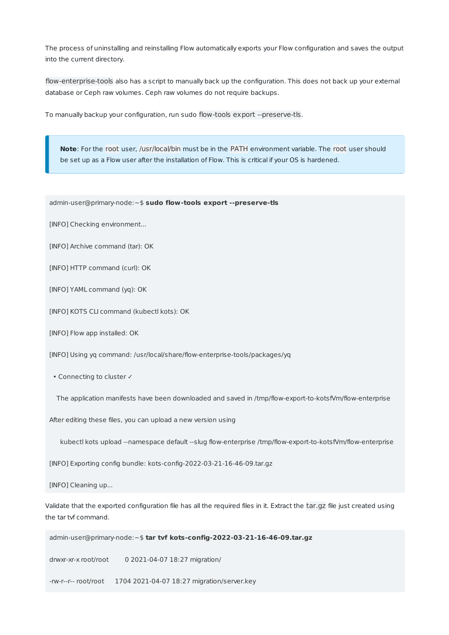The process of uninstalling and reinstalling Flow automatically exports your Flow configuration and saves the output into the current directory.

flow-enterprise-tools also has a script to manually back up the configuration. This does not back up your external database or Ceph raw volumes. Ceph raw volumes do not require backups.

To manually backup your configuration, run sudo flow-tools export --preserve-tls.

**Note**: For the root user, /usr/local/bin must be in the PATH environment variable. The root user should be set up as a Flow user after the installation of Flow. This is critical if your OS is hardened.

admin-user@primary-node:~\$ **sudo flow-tools export --preserve-tls**

[INFO] Checking environment...

[INFO] Archive command (tar): OK

[INFO] HTTP command (curl): OK

[INFO] YAML command (yq): OK

[INFO] KOTS CLI command (kubectl kots): OK

[INFO] Flow app installed: OK

[INFO] Using yq command: /usr/local/share/flow-enterprise-tools/packages/yq

• Connecting to cluster ✓

The application manifests have been downloaded and saved in /tmp/flow-export-to-kotsfVm/flow-enterprise

After editing these files, you can upload a new version using

kubectl kots upload --namespace default --slug flow-enterprise /tmp/flow-export-to-kotsfVm/flow-enterprise

[INFO] Exporting config bundle: kots-config-2022-03-21-16-46-09.tar.gz

[INFO] Cleaning up...

Validate that the exported configuration file has all the required files in it. Extract the tar.gz file just created using the tar tvf command.

admin-user@primary-node:~\$ **tar tvf kots-config-2022-03-21-16-46-09.tar.gz**

drwxr-xr-x root/root 0 2021-04-07 18:27 migration/

-rw-r--r-- root/root 1704 2021-04-07 18:27 migration/server.key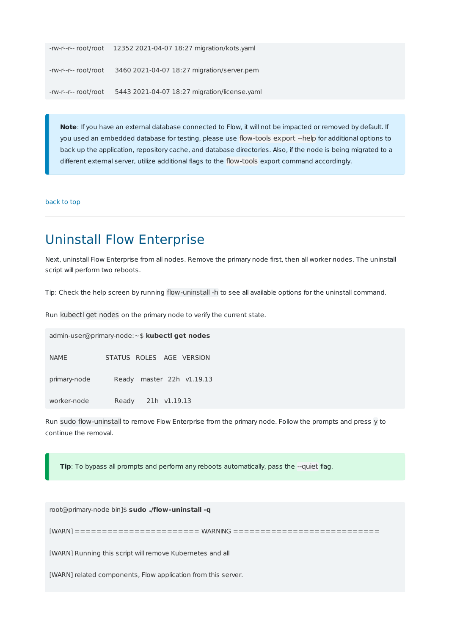```
-rw-r--r-- root/root 12352 2021-04-07 18:27 migration/kots.yaml
-rw-r--r-- root/root 3460 2021-04-07 18:27 migration/server.pem
-rw-r--r-- root/root 5443 2021-04-07 18:27 migration/license.yaml
```
**Note**: If you have an external database connected to Flow, it will not be impacted or removed by default. If you used an embedded database for testing, please use flow-tools export --help for additional options to back up the application, repository cache, and database directories. Also, if the node is being migrated to a different external server, utilize additional flags to the flow-tools export command accordingly.

back to top

## Uninstall Flow Enterprise

Next, uninstall Flow Enterprise from all nodes. Remove the primary node first, then all worker nodes. The uninstall script will perform two reboots.

Tip: Check the help screen by running flow-uninstall -h to see all available options for the uninstall command.

Run kubectl get nodes on the primary node to verify the current state.

|              | admin-user@primary-node:~\$ kubectl get nodes |
|--------------|-----------------------------------------------|
| <b>NAME</b>  | STATUS ROLES AGE VERSION                      |
| primary-node | Ready master 22h v1.19.13                     |
| worker-node  | Ready 21h v1.19.13                            |

Run sudo flow-uninstall to remove Flow Enterprise from the primary node. Follow the prompts and press y to continue the removal.

**Tip**: To bypass all prompts and perform any reboots automatically, pass the --quiet flag.

root@primary-node bin]\$ **sudo ./flow-uninstall -q**

[WARN] ======================= WARNING ===========================

[WARN] Running this script will remove Kubernetes and all

[WARN] related components, Flow application from this server.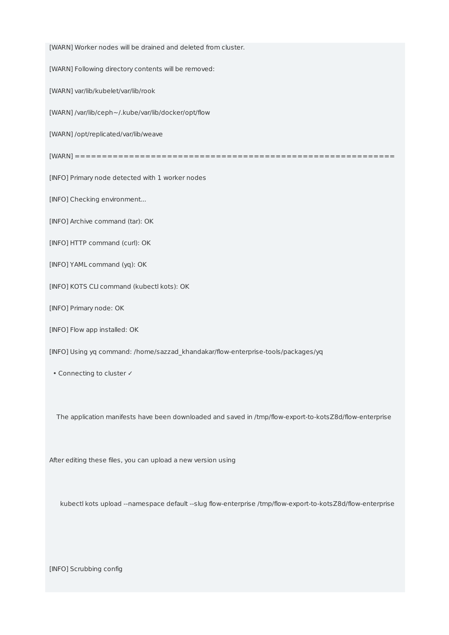[WARN] Worker nodes will be drained and deleted from cluster.

[WARN] Following directory contents will be removed:

[WARN] var/lib/kubelet/var/lib/rook

[WARN] /var/lib/ceph~/.kube/var/lib/docker/opt/flow

[WARN] /opt/replicated/var/lib/weave

[WARN] ===========================================================

[INFO] Primary node detected with 1 worker nodes

[INFO] Checking environment...

[INFO] Archive command (tar): OK

[INFO] HTTP command (curl): OK

[INFO] YAML command (yq): OK

[INFO] KOTS CLI command (kubectl kots): OK

[INFO] Primary node: OK

[INFO] Flow app installed: OK

[INFO] Using yq command: /home/sazzad\_khandakar/flow-enterprise-tools/packages/yq

• Connecting to cluster ✓

The application manifests have been downloaded and saved in /tmp/flow-export-to-kotsZ8d/flow-enterprise

After editing these files, you can upload a new version using

kubectl kots upload --namespace default --slug flow-enterprise /tmp/flow-export-to-kotsZ8d/flow-enterprise

[INFO] Scrubbing config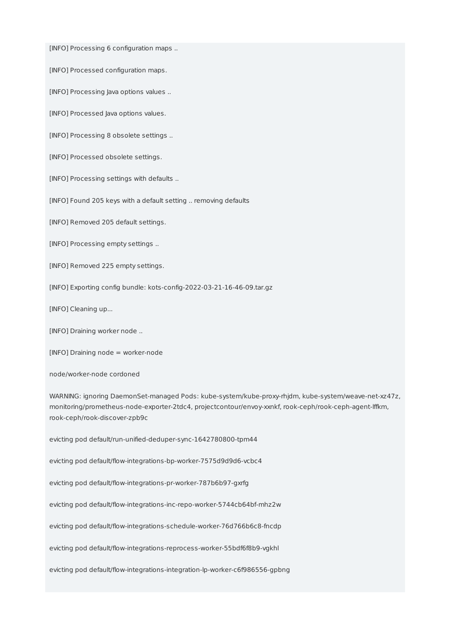[INFO] Processing 6 configuration maps ..

[INFO] Processed configuration maps.

[INFO] Processing Java options values ..

[INFO] Processed Java options values.

[INFO] Processing 8 obsolete settings ..

[INFO] Processed obsolete settings.

[INFO] Processing settings with defaults ..

[INFO] Found 205 keys with a default setting .. removing defaults

[INFO] Removed 205 default settings.

[INFO] Processing empty settings ..

[INFO] Removed 225 empty settings.

[INFO] Exporting config bundle: kots-config-2022-03-21-16-46-09.tar.gz

[INFO] Cleaning up...

[INFO] Draining worker node ..

[INFO] Draining node = worker-node

node/worker-node cordoned

WARNING: ignoring DaemonSet-managed Pods: kube-system/kube-proxy-rhjdm, kube-system/weave-net-xz47z, monitoring/prometheus-node-exporter-2tdc4, projectcontour/envoy-xxnkf, rook-ceph/rook-ceph-agent-lffkm, rook-ceph/rook-discover-zpb9c

evicting pod default/run-unified-deduper-sync-1642780800-tpm44

evicting pod default/flow-integrations-bp-worker-7575d9d9d6-vcbc4

evicting pod default/flow-integrations-pr-worker-787b6b97-gxrfg

evicting pod default/flow-integrations-inc-repo-worker-5744cb64bf-mhz2w

evicting pod default/flow-integrations-schedule-worker-76d766b6c8-fncdp

evicting pod default/flow-integrations-reprocess-worker-55bdf6f8b9-vgkhl

evicting pod default/flow-integrations-integration-lp-worker-c6f986556-gpbng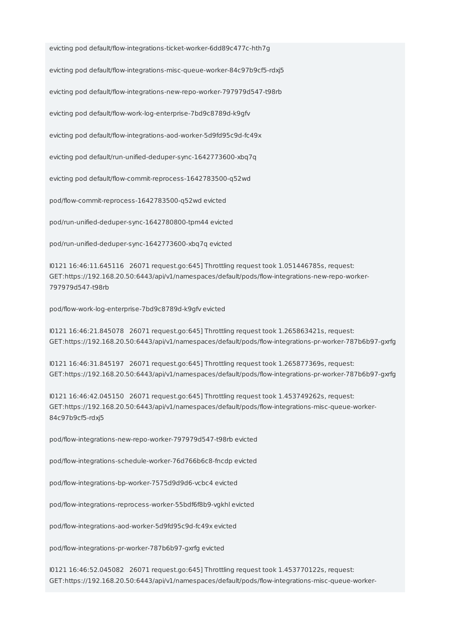evicting pod default/flow-integrations-ticket-worker-6dd89c477c-hth7g

evicting pod default/flow-integrations-misc-queue-worker-84c97b9cf5-rdxj5

evicting pod default/flow-integrations-new-repo-worker-797979d547-t98rb

evicting pod default/flow-work-log-enterprise-7bd9c8789d-k9gfv

evicting pod default/flow-integrations-aod-worker-5d9fd95c9d-fc49x

evicting pod default/run-unified-deduper-sync-1642773600-xbq7q

evicting pod default/flow-commit-reprocess-1642783500-q52wd

pod/flow-commit-reprocess-1642783500-q52wd evicted

pod/run-unified-deduper-sync-1642780800-tpm44 evicted

pod/run-unified-deduper-sync-1642773600-xbq7q evicted

I0121 16:46:11.645116 26071 request.go:645] Throttling request took 1.051446785s, request: GET:https://192.168.20.50:6443/api/v1/namespaces/default/pods/flow-integrations-new-repo-worker-797979d547-t98rb

pod/flow-work-log-enterprise-7bd9c8789d-k9gfv evicted

I0121 16:46:21.845078 26071 request.go:645] Throttling request took 1.265863421s, request: GET:https://192.168.20.50:6443/api/v1/namespaces/default/pods/flow-integrations-pr-worker-787b6b97-gxrfg

I0121 16:46:31.845197 26071 request.go:645] Throttling request took 1.265877369s, request: GET:https://192.168.20.50:6443/api/v1/namespaces/default/pods/flow-integrations-pr-worker-787b6b97-gxrfg

I0121 16:46:42.045150 26071 request.go:645] Throttling request took 1.453749262s, request: GET:https://192.168.20.50:6443/api/v1/namespaces/default/pods/flow-integrations-misc-queue-worker-84c97b9cf5-rdxj5

pod/flow-integrations-new-repo-worker-797979d547-t98rb evicted

pod/flow-integrations-schedule-worker-76d766b6c8-fncdp evicted

pod/flow-integrations-bp-worker-7575d9d9d6-vcbc4 evicted

pod/flow-integrations-reprocess-worker-55bdf6f8b9-vgkhl evicted

pod/flow-integrations-aod-worker-5d9fd95c9d-fc49x evicted

pod/flow-integrations-pr-worker-787b6b97-gxrfg evicted

I0121 16:46:52.045082 26071 request.go:645] Throttling request took 1.453770122s, request: GET:https://192.168.20.50:6443/api/v1/namespaces/default/pods/flow-integrations-misc-queue-worker-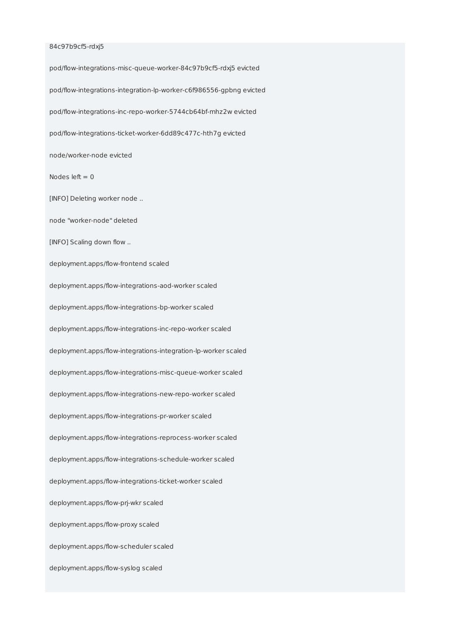#### 84c97b9cf5-rdxj5

pod/flow-integrations-misc-queue-worker-84c97b9cf5-rdxj5 evicted pod/flow-integrations-integration-lp-worker-c6f986556-gpbng evicted pod/flow-integrations-inc-repo-worker-5744cb64bf-mhz2w evicted pod/flow-integrations-ticket-worker-6dd89c477c-hth7g evicted node/worker-node evicted Nodes left  $= 0$ [INFO] Deleting worker node .. node "worker-node" deleted [INFO] Scaling down flow .. deployment.apps/flow-frontend scaled deployment.apps/flow-integrations-aod-worker scaled deployment.apps/flow-integrations-bp-worker scaled deployment.apps/flow-integrations-inc-repo-worker scaled deployment.apps/flow-integrations-integration-lp-worker scaled deployment.apps/flow-integrations-misc-queue-worker scaled deployment.apps/flow-integrations-new-repo-worker scaled deployment.apps/flow-integrations-pr-worker scaled deployment.apps/flow-integrations-reprocess-worker scaled deployment.apps/flow-integrations-schedule-worker scaled deployment.apps/flow-integrations-ticket-worker scaled deployment.apps/flow-prj-wkr scaled deployment.apps/flow-proxy scaled deployment.apps/flow-scheduler scaled deployment.apps/flow-syslog scaled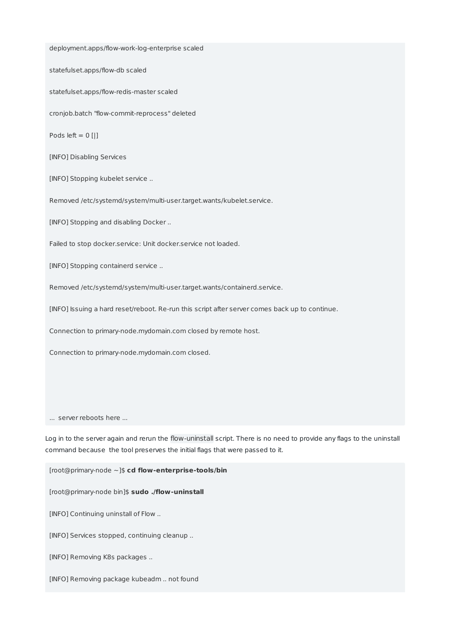deployment.apps/flow-work-log-enterprise scaled statefulset.apps/flow-db scaled statefulset.apps/flow-redis-master scaled cronjob.batch "flow-commit-reprocess" deleted Pods left  $= 0$  [|] [INFO] Disabling Services [INFO] Stopping kubelet service .. Removed /etc/systemd/system/multi-user.target.wants/kubelet.service. [INFO] Stopping and disabling Docker .. Failed to stop docker.service: Unit docker.service not loaded. [INFO] Stopping containerd service .. Removed /etc/systemd/system/multi-user.target.wants/containerd.service. [INFO] Issuing a hard reset/reboot. Re-run this script after server comes back up to continue. Connection to primary-node.mydomain.com closed by remote host. Connection to primary-node.mydomain.com closed. ... server reboots here ... Log in to the server again and rerun the flow-uninstall script. There is no need to provide any flags to the uninstall command because the tool preserves the initial flags that were passed to it. [root@primary-node ~]\$ **cd flow-enterprise-tools/bin**

[root@primary-node bin]\$ **sudo ./flow-uninstall**

[INFO] Continuing uninstall of Flow ..

[INFO] Services stopped, continuing cleanup ..

[INFO] Removing K8s packages ..

[INFO] Removing package kubeadm .. not found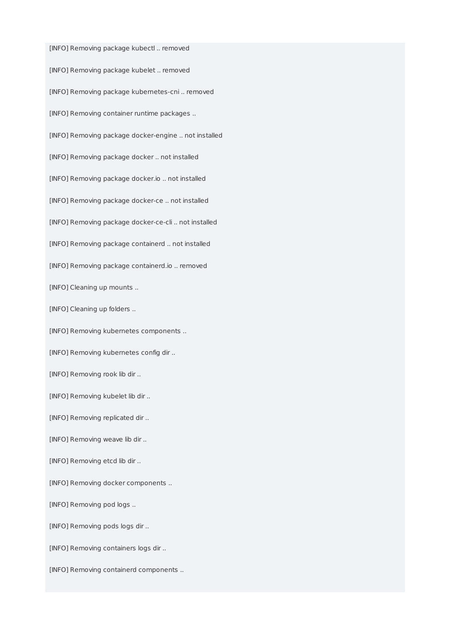[INFO] Removing package kubectl .. removed [INFO] Removing package kubelet .. removed [INFO] Removing package kubernetes-cni .. removed [INFO] Removing container runtime packages .. [INFO] Removing package docker-engine .. not installed [INFO] Removing package docker .. not installed [INFO] Removing package docker.io .. not installed [INFO] Removing package docker-ce .. not installed [INFO] Removing package docker-ce-cli .. not installed [INFO] Removing package containerd .. not installed [INFO] Removing package containerd.io .. removed [INFO] Cleaning up mounts .. [INFO] Cleaning up folders .. [INFO] Removing kubernetes components .. [INFO] Removing kubernetes config dir .. [INFO] Removing rook lib dir .. [INFO] Removing kubelet lib dir .. [INFO] Removing replicated dir .. [INFO] Removing weave lib dir .. [INFO] Removing etcd lib dir .. [INFO] Removing docker components .. [INFO] Removing pod logs .. [INFO] Removing pods logs dir .. [INFO] Removing containers logs dir .. [INFO] Removing containerd components ..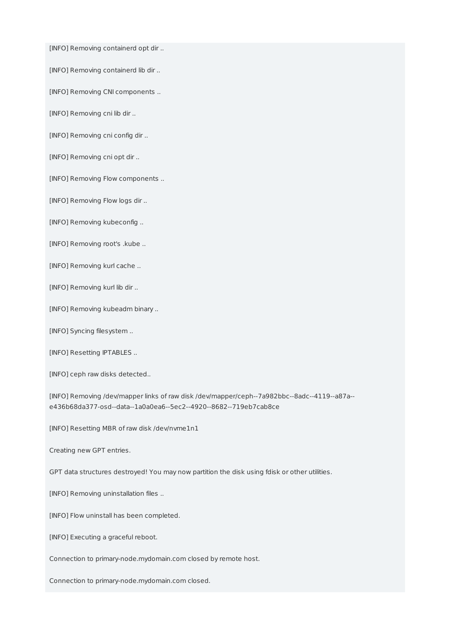[INFO] Removing containerd opt dir ..

[INFO] Removing containerd lib dir ..

[INFO] Removing CNI components ..

[INFO] Removing cni lib dir ..

[INFO] Removing cni config dir ..

[INFO] Removing cni opt dir ..

[INFO] Removing Flow components ..

[INFO] Removing Flow logs dir ..

[INFO] Removing kubeconfig ..

[INFO] Removing root's .kube ..

[INFO] Removing kurl cache ..

[INFO] Removing kurl lib dir ..

[INFO] Removing kubeadm binary ..

[INFO] Syncing filesystem ..

[INFO] Resetting IPTABLES ..

[INFO] ceph raw disks detected..

[INFO] Removing /dev/mapper links of raw disk /dev/mapper/ceph--7a982bbc--8adc--4119--a87a- e436b68da377-osd--data--1a0a0ea6--5ec2--4920--8682--719eb7cab8ce

[INFO] Resetting MBR of raw disk /dev/nvme1n1

Creating new GPT entries.

GPT data structures destroyed! You may now partition the disk using fdisk or other utilities.

[INFO] Removing uninstallation files ..

[INFO] Flow uninstall has been completed.

[INFO] Executing a graceful reboot.

Connection to primary-node.mydomain.com closed by remote host.

Connection to primary-node.mydomain.com closed.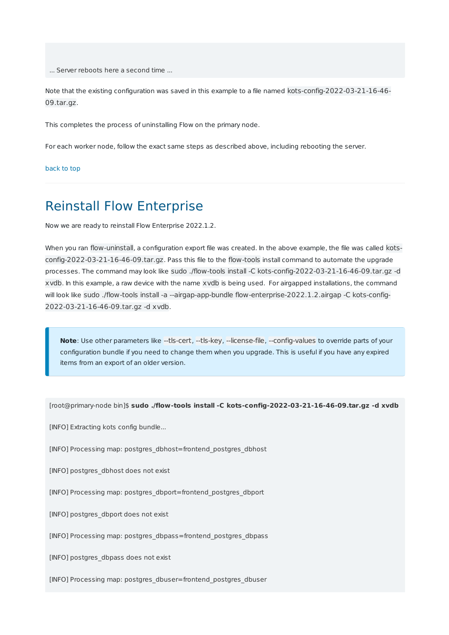... Server reboots here a second time ...

Note that the existing configuration was saved in this example to a file named kots-config-2022-03-21-16-46- 09.tar.gz.

This completes the process of uninstalling Flow on the primary node.

For each worker node, follow the exact same steps as described above, including rebooting the server.

back to top

### Reinstall Flow Enterprise

Now we are ready to reinstall Flow Enterprise 2022.1.2.

When you ran flow-uninstall, a configuration export file was created. In the above example, the file was called kotsconfig-2022-03-21-16-46-09.tar.gz. Pass this file to the flow-tools install command to automate the upgrade processes. The command may look like sudo ./flow-tools install -C kots-config-2022-03-21-16-46-09.tar.gz -d xvdb. In this example, a raw device with the name xvdb is being used. For airgapped installations, the command will look like sudo ./flow-tools install -a --airgap-app-bundle flow-enterprise-2022.1.2.airgap -C kots-config-2022-03-21-16-46-09.tar.gz -d xvdb.

**Note**: Use other parameters like --tls-cert, --tls-key, --license-file, --config-values to override parts of your configuration bundle if you need to change them when you upgrade. This is useful if you have any expired items from an export of an older version.

[root@primary-node bin]\$ **sudo ./flow-tools install -C kots-config-2022-03-21-16-46-09.tar.gz -d xvdb**

[INFO] Extracting kots config bundle...

[INFO] Processing map: postgres\_dbhost=frontend\_postgres\_dbhost

[INFO] postgres\_dbhost does not exist

[INFO] Processing map: postgres\_dbport=frontend\_postgres\_dbport

[INFO] postgres\_dbport does not exist

[INFO] Processing map: postgres\_dbpass=frontend\_postgres\_dbpass

[INFO] postgres\_dbpass does not exist

[INFO] Processing map: postgres\_dbuser=frontend\_postgres\_dbuser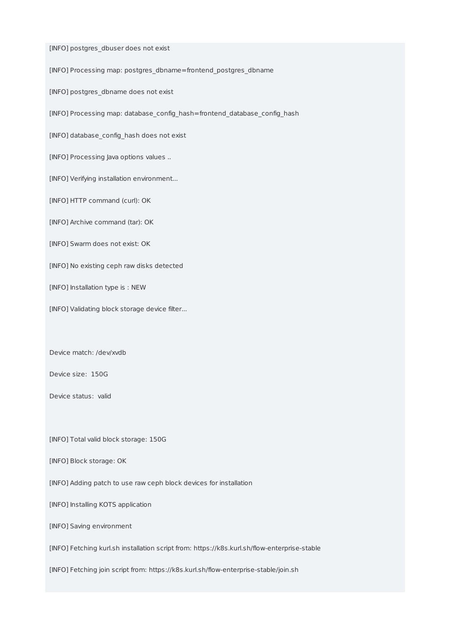[INFO] postgres\_dbuser does not exist

[INFO] Processing map: postgres\_dbname=frontend\_postgres\_dbname

[INFO] postgres\_dbname does not exist

[INFO] Processing map: database\_config\_hash=frontend\_database\_config\_hash

[INFO] database\_config\_hash does not exist

[INFO] Processing Java options values ..

[INFO] Verifying installation environment...

[INFO] HTTP command (curl): OK

[INFO] Archive command (tar): OK

[INFO] Swarm does not exist: OK

[INFO] No existing ceph raw disks detected

[INFO] Installation type is : NEW

[INFO] Validating block storage device filter...

Device match: /dev/xvdb

Device size: 150G

Device status: valid

[INFO] Total valid block storage: 150G

[INFO] Block storage: OK

[INFO] Adding patch to use raw ceph block devices for installation

[INFO] Installing KOTS application

[INFO] Saving environment

[INFO] Fetching kurl.sh installation script from: https://k8s.kurl.sh/flow-enterprise-stable

[INFO] Fetching join script from: https://k8s.kurl.sh/flow-enterprise-stable/join.sh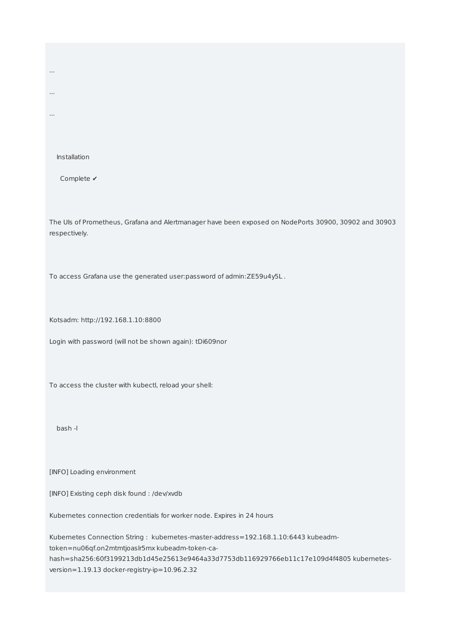Installation

...

...

...

Complete ✔

The UIs of Prometheus, Grafana and Alertmanager have been exposed on NodePorts 30900, 30902 and 30903 respectively.

To access Grafana use the generated user:password of admin:ZE59u4y5L .

Kotsadm: http://192.168.1.10:8800

Login with password (will not be shown again): tDi609nor

To access the cluster with kubectl, reload your shell:

bash -l

[INFO] Loading environment

[INFO] Existing ceph disk found : /dev/xvdb

Kubernetes connection credentials for worker node. Expires in 24 hours

Kubernetes Connection String : kubernetes-master-address=192.168.1.10:6443 kubeadmtoken=nu06qf.on2mtmtjoaslr5mx kubeadm-token-cahash=sha256:60f3199213db1d45e25613e9464a33d7753db116929766eb11c17e109d4f4805 kubernetesversion=1.19.13 docker-registry-ip=10.96.2.32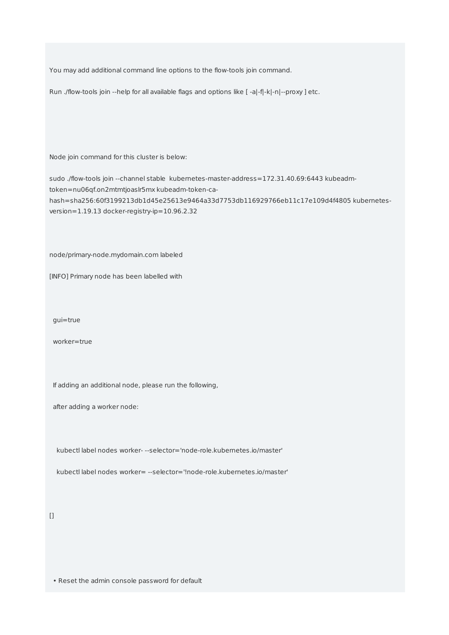You may add additional command line options to the flow-tools join command.

Run ./flow-tools join --help for all available flags and options like [ -a|-f|-k|-n|--proxy ] etc.

Node join command for this cluster is below:

sudo ./flow-tools join --channel stable kubernetes-master-address=172.31.40.69:6443 kubeadmtoken=nu06qf.on2mtmtjoaslr5mx kubeadm-token-cahash=sha256:60f3199213db1d45e25613e9464a33d7753db116929766eb11c17e109d4f4805 kubernetesversion=1.19.13 docker-registry-ip=10.96.2.32

node/primary-node.mydomain.com labeled

[INFO] Primary node has been labelled with

gui=true

worker=true

If adding an additional node, please run the following,

after adding a worker node:

kubectl label nodes worker- --selector='node-role.kubernetes.io/master'

kubectl label nodes worker= --selector='!node-role.kubernetes.io/master'

 $[$ 

• Reset the admin console password for default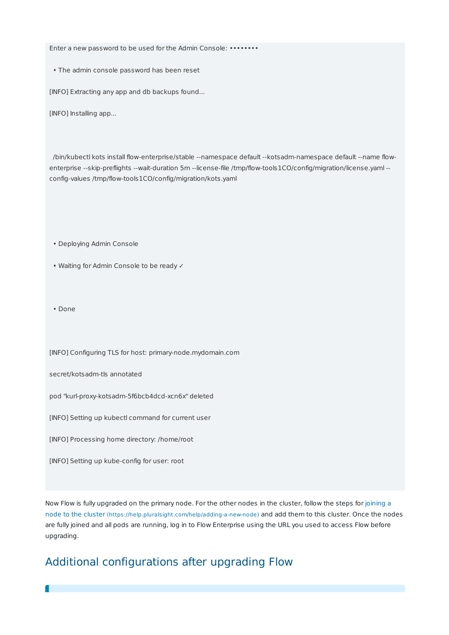Enter a new password to be used for the Admin Console: •••••••••

• The admin console password has been reset

[INFO] Extracting any app and db backups found...

[INFO] Installing app...

/bin/kubectl kots install flow-enterprise/stable --namespace default --kotsadm-namespace default --name flowenterprise --skip-preflights --wait-duration 5m --license-file /tmp/flow-tools1CO/config/migration/license.yaml - config-values /tmp/flow-tools1CO/config/migration/kots.yaml

• Deploying Admin Console

• Waiting for Admin Console to be ready ✓

• Done

[INFO] Configuring TLS for host: primary-node.mydomain.com

secret/kotsadm-tls annotated

pod "kurl-proxy-kotsadm-5f6bcb4dcd-xcn6x" deleted

[INFO] Setting up kubectl command for current user

[INFO] Processing home directory: /home/root

[INFO] Setting up kube-config for user: root

Now Flow is fully upgraded on the primary node. For the other nodes in the cluster, follow the steps for joining a node to the cluster (https://help.pluralsight.com/help/adding-a-new-node) and add them to this cluster. Once the nodes are fully joined and all pods are running, log in to Flow Enterprise using the URL you used to access Flow before upgrading.

### Additional configurations after upgrading Flow